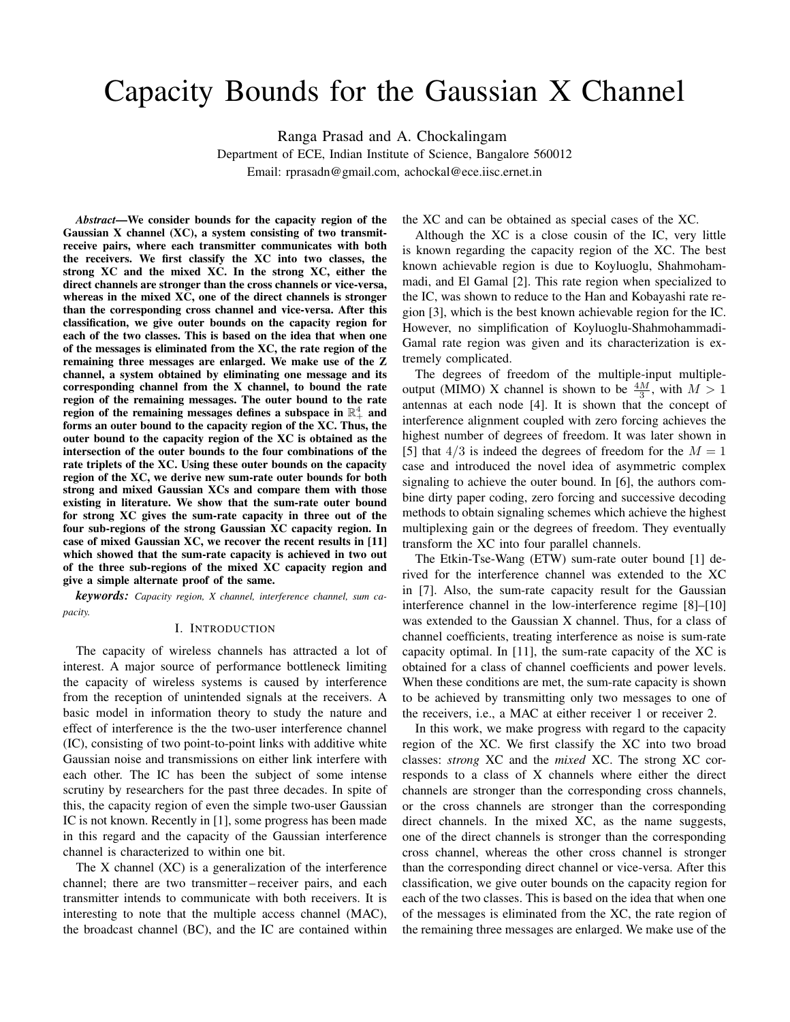# Capacity Bounds for the Gaussian X Channel

Ranga Prasad and A. Chockalingam

Department of ECE, Indian Institute of Science, Bangalore 560012 Email: rprasadn@gmail.com, achockal@ece.iisc.ernet.in

*Abstract*—We consider bounds for the capacity region of the Gaussian X channel (XC), a system consisting of two transmitreceive pairs, where each transmitter communicates with both the receivers. We first classify the XC into two classes, the strong XC and the mixed XC. In the strong XC, either the direct channels are stronger than the cross channels or vice-versa, whereas in the mixed  $X\overline{C}$ , one of the direct channels is stronger than the corresponding cross channel and vice-versa. After this classification, we give outer bounds on the capacity region for each of the two classes. This is based on the idea that when one of the messages is eliminated from the XC, the rate region of the remaining three messages are enlarged. We make use of the Z channel, a system obtained by eliminating one message and its corresponding channel from the X channel, to bound the rate region of the remaining messages. The outer bound to the rate region of the remaining messages defines a subspace in  $\mathbb{R}^4_+$  and forms an outer bound to the capacity region of the XC. Thus, the outer bound to the capacity region of the XC is obtained as the intersection of the outer bounds to the four combinations of the rate triplets of the XC. Using these outer bounds on the capacity region of the XC, we derive new sum-rate outer bounds for both strong and mixed Gaussian XCs and compare them with those existing in literature. We show that the sum-rate outer bound for strong XC gives the sum-rate capacity in three out of the four sub-regions of the strong Gaussian XC capacity region. In case of mixed Gaussian XC, we recover the recent results in [11] which showed that the sum-rate capacity is achieved in two out of the three sub-regions of the mixed XC capacity region and give a simple alternate proof of the same.

*keywords: Capacity region, X channel, interference channel, sum capacity.*

#### I. INTRODUCTION

The capacity of wireless channels has attracted a lot of interest. A major source of performance bottleneck limiting the capacity of wireless systems is caused by interference from the reception of unintended signals at the receivers. A basic model in information theory to study the nature and effect of interference is the the two-user interference channel (IC), consisting of two point-to-point links with additive white Gaussian noise and transmissions on either link interfere with each other. The IC has been the subject of some intense scrutiny by researchers for the past three decades. In spite of this, the capacity region of even the simple two-user Gaussian IC is not known. Recently in [1], some progress has been made in this regard and the capacity of the Gaussian interference channel is characterized to within one bit.

The X channel (XC) is a generalization of the interference channel; there are two transmitter – receiver pairs, and each transmitter intends to communicate with both receivers. It is interesting to note that the multiple access channel (MAC), the broadcast channel (BC), and the IC are contained within the XC and can be obtained as special cases of the XC.

Although the XC is a close cousin of the IC, very little is known regarding the capacity region of the XC. The best known achievable region is due to Koyluoglu, Shahmohammadi, and El Gamal [2]. This rate region when specialized to the IC, was shown to reduce to the Han and Kobayashi rate region [3], which is the best known achievable region for the IC. However, no simplification of Koyluoglu-Shahmohammadi-Gamal rate region was given and its characterization is extremely complicated.

The degrees of freedom of the multiple-input multipleoutput (MIMO) X channel is shown to be  $\frac{4M}{3}$ , with  $M > 1$ antennas at each node [4]. It is shown that the concept of interference alignment coupled with zero forcing achieves the highest number of degrees of freedom. It was later shown in [5] that  $4/3$  is indeed the degrees of freedom for the  $M = 1$ case and introduced the novel idea of asymmetric complex signaling to achieve the outer bound. In [6], the authors combine dirty paper coding, zero forcing and successive decoding methods to obtain signaling schemes which achieve the highest multiplexing gain or the degrees of freedom. They eventually transform the XC into four parallel channels.

The Etkin-Tse-Wang (ETW) sum-rate outer bound [1] derived for the interference channel was extended to the XC in [7]. Also, the sum-rate capacity result for the Gaussian interference channel in the low-interference regime [8]–[10] was extended to the Gaussian X channel. Thus, for a class of channel coefficients, treating interference as noise is sum-rate capacity optimal. In [11], the sum-rate capacity of the XC is obtained for a class of channel coefficients and power levels. When these conditions are met, the sum-rate capacity is shown to be achieved by transmitting only two messages to one of the receivers, i.e., a MAC at either receiver 1 or receiver 2.

In this work, we make progress with regard to the capacity region of the XC. We first classify the XC into two broad classes: *strong* XC and the *mixed* XC. The strong XC corresponds to a class of X channels where either the direct channels are stronger than the corresponding cross channels, or the cross channels are stronger than the corresponding direct channels. In the mixed XC, as the name suggests, one of the direct channels is stronger than the corresponding cross channel, whereas the other cross channel is stronger than the corresponding direct channel or vice-versa. After this classification, we give outer bounds on the capacity region for each of the two classes. This is based on the idea that when one of the messages is eliminated from the XC, the rate region of the remaining three messages are enlarged. We make use of the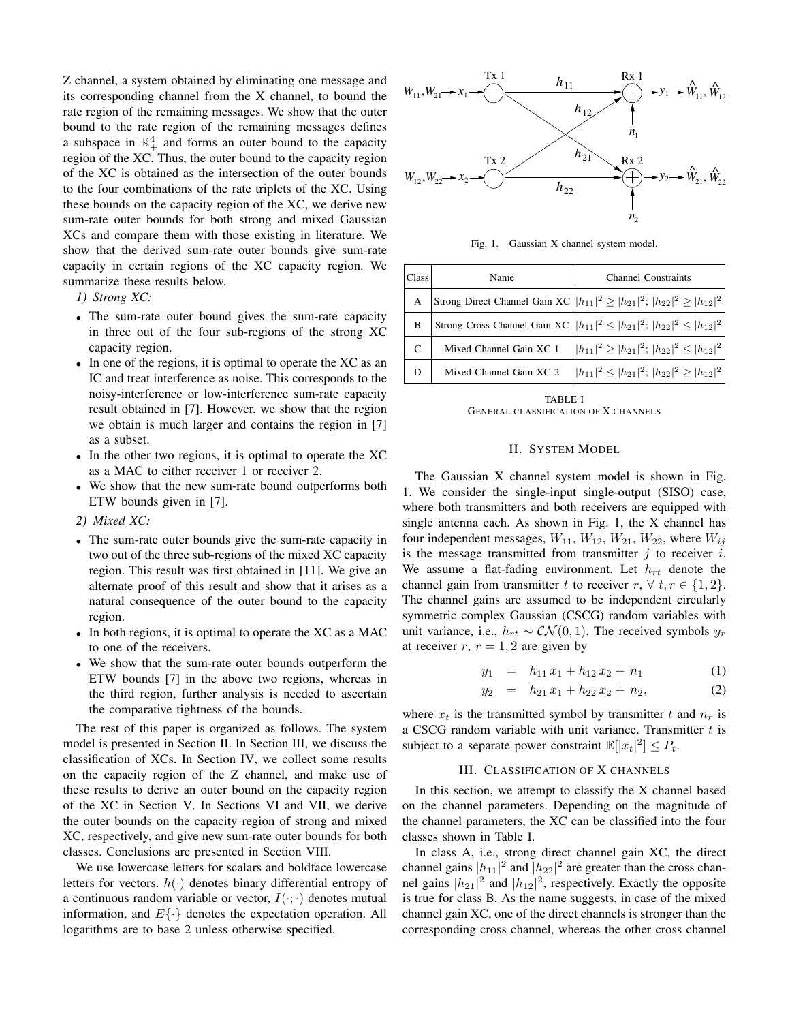Z channel, a system obtained by eliminating one message and its corresponding channel from the X channel, to bound the rate region of the remaining messages. We show that the outer bound to the rate region of the remaining messages defines a subspace in  $\mathbb{R}^4_+$  and forms an outer bound to the capacity region of the XC. Thus, the outer bound to the capacity region of the XC is obtained as the intersection of the outer bounds to the four combinations of the rate triplets of the XC. Using these bounds on the capacity region of the XC, we derive new sum-rate outer bounds for both strong and mixed Gaussian XCs and compare them with those existing in literature. We show that the derived sum-rate outer bounds give sum-rate capacity in certain regions of the XC capacity region. We summarize these results below.

*1) Strong XC:*

- The sum-rate outer bound gives the sum-rate capacity in three out of the four sub-regions of the strong XC capacity region.
- In one of the regions, it is optimal to operate the XC as an IC and treat interference as noise. This corresponds to the noisy-interference or low-interference sum-rate capacity result obtained in [7]. However, we show that the region we obtain is much larger and contains the region in [7] as a subset.
- In the other two regions, it is optimal to operate the XC as a MAC to either receiver 1 or receiver 2.
- We show that the new sum-rate bound outperforms both ETW bounds given in [7].
- *2) Mixed XC:*
- The sum-rate outer bounds give the sum-rate capacity in two out of the three sub-regions of the mixed XC capacity region. This result was first obtained in [11]. We give an alternate proof of this result and show that it arises as a natural consequence of the outer bound to the capacity region.
- In both regions, it is optimal to operate the XC as a MAC to one of the receivers.
- We show that the sum-rate outer bounds outperform the ETW bounds [7] in the above two regions, whereas in the third region, further analysis is needed to ascertain the comparative tightness of the bounds.

The rest of this paper is organized as follows. The system model is presented in Section II. In Section III, we discuss the classification of XCs. In Section IV, we collect some results on the capacity region of the Z channel, and make use of these results to derive an outer bound on the capacity region of the XC in Section V. In Sections VI and VII, we derive the outer bounds on the capacity region of strong and mixed XC, respectively, and give new sum-rate outer bounds for both classes. Conclusions are presented in Section VIII.

We use lowercase letters for scalars and boldface lowercase letters for vectors.  $h(\cdot)$  denotes binary differential entropy of a continuous random variable or vector,  $I(\cdot; \cdot)$  denotes mutual information, and  $E\{\cdot\}$  denotes the expectation operation. All logarithms are to base 2 unless otherwise specified.



Fig. 1. Gaussian X channel system model.

| Class | Name                    | <b>Channel Constraints</b>                                                                |
|-------|-------------------------|-------------------------------------------------------------------------------------------|
| A     |                         | Strong Direct Channel Gain XC $ h_{11} ^2 \geq  h_{21} ^2$ ; $ h_{22} ^2 \geq  h_{12} ^2$ |
| B     |                         | Strong Cross Channel Gain XC $  h_{11} ^2 \leq  h_{21} ^2$ ; $ h_{22} ^2 \leq  h_{12} ^2$ |
| C     | Mixed Channel Gain XC 1 | $\left   h_{11} ^2 \geq  h_{21} ^2;  h_{22} ^2 \leq  h_{12} ^2 \right $                   |
| D     | Mixed Channel Gain XC 2 | $\left   h_{11} ^2 \leq  h_{21} ^2;  h_{22} ^2 \geq  h_{12} ^2 \right $                   |

TABLE I GENERAL CLASSIFICATION OF X CHANNELS

### II. SYSTEM MODEL

The Gaussian X channel system model is shown in Fig. 1. We consider the single-input single-output (SISO) case, where both transmitters and both receivers are equipped with single antenna each. As shown in Fig. 1, the X channel has four independent messages,  $W_{11}$ ,  $W_{12}$ ,  $W_{21}$ ,  $W_{22}$ , where  $W_{ij}$ is the message transmitted from transmitter  $j$  to receiver  $i$ . We assume a flat-fading environment. Let  $h_{rt}$  denote the channel gain from transmitter t to receiver  $r, \forall t, r \in \{1, 2\}.$ The channel gains are assumed to be independent circularly symmetric complex Gaussian (CSCG) random variables with unit variance, i.e.,  $h_{rt} \sim \mathcal{CN}(0, 1)$ . The received symbols  $y_r$ at receiver  $r, r = 1, 2$  are given by

$$
y_1 = h_{11} x_1 + h_{12} x_2 + n_1 \tag{1}
$$

$$
y_2 = h_{21}x_1 + h_{22}x_2 + n_2, \tag{2}
$$

where  $x_t$  is the transmitted symbol by transmitter t and  $n_r$  is a CSCG random variable with unit variance. Transmitter  $t$  is subject to a separate power constraint  $\mathbb{E}[|x_t|^2] \leq P_t$ .

# III. CLASSIFICATION OF X CHANNELS

In this section, we attempt to classify the X channel based on the channel parameters. Depending on the magnitude of the channel parameters, the XC can be classified into the four classes shown in Table I.

In class A, i.e., strong direct channel gain XC, the direct channel gains  $|h_{11}|^2$  and  $|h_{22}|^2$  are greater than the cross channel gains  $|h_{21}|^2$  and  $|h_{12}|^2$ , respectively. Exactly the opposite is true for class B. As the name suggests, in case of the mixed channel gain XC, one of the direct channels is stronger than the corresponding cross channel, whereas the other cross channel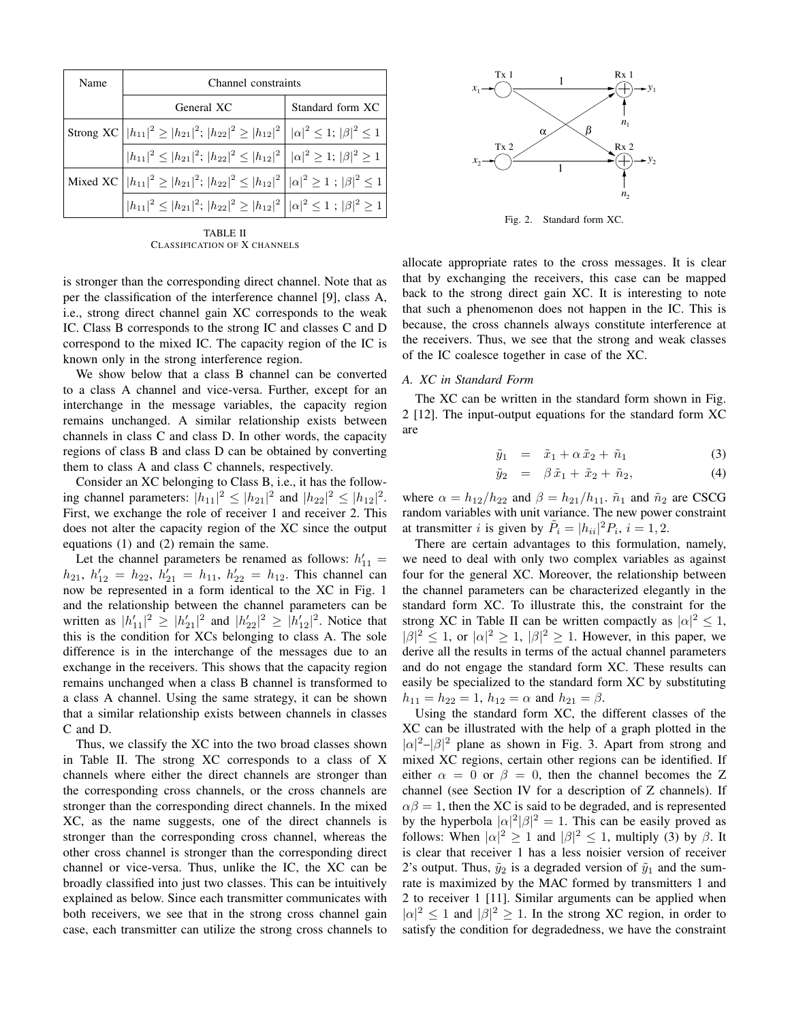| Name | Channel constraints                                                                                              |                  |
|------|------------------------------------------------------------------------------------------------------------------|------------------|
|      | General XC                                                                                                       | Standard form XC |
|      | Strong XC $ h_{11} ^2 \geq  h_{21} ^2$ ; $ h_{22} ^2 \geq  h_{12} ^2    \alpha ^2 \leq 1$ ; $ \beta ^2 \leq 1$   |                  |
|      | $ h_{11} ^2 \leq  h_{21} ^2$ ; $ h_{22} ^2 \leq  h_{12} ^2    \alpha ^2 \geq 1$ ; $ \beta ^2 \geq 1$             |                  |
|      | Mixed XC $\left   h_{11} ^2 \ge  h_{21} ^2;  h_{22} ^2 \le  h_{12} ^2 \right   \alpha ^2 \ge 1;  \beta ^2 \le 1$ |                  |
|      | $ h_{11} ^2 \leq  h_{21} ^2$ ; $ h_{22} ^2 \geq  h_{12} ^2    \alpha ^2 \leq 1$ ; $ \beta ^2 \geq 1  $           |                  |

TABLE II CLASSIFICATION OF X CHANNELS

is stronger than the corresponding direct channel. Note that as per the classification of the interference channel [9], class A, i.e., strong direct channel gain XC corresponds to the weak IC. Class B corresponds to the strong IC and classes C and D correspond to the mixed IC. The capacity region of the IC is known only in the strong interference region.

We show below that a class B channel can be converted to a class A channel and vice-versa. Further, except for an interchange in the message variables, the capacity region remains unchanged. A similar relationship exists between channels in class C and class D. In other words, the capacity regions of class B and class D can be obtained by converting them to class A and class C channels, respectively.

Consider an XC belonging to Class B, i.e., it has the following channel parameters:  $|h_{11}|^2 \leq |h_{21}|^2$  and  $|h_{22}|^2 \leq |h_{12}|^2$ . First, we exchange the role of receiver 1 and receiver 2. This does not alter the capacity region of the XC since the output equations (1) and (2) remain the same.

Let the channel parameters be renamed as follows:  $h'_{11} =$  $h_{21}, h'_{12} = h_{22}, h'_{21} = h_{11}, h'_{22} = h_{12}.$  This channel can now be represented in a form identical to the XC in Fig. 1 and the relationship between the channel parameters can be written as  $|h'_{11}|^2 \geq |h'_{21}|^2$  and  $|h'_{22}|^2 \geq |h'_{12}|^2$ . Notice that this is the condition for XCs belonging to class A. The sole difference is in the interchange of the messages due to an exchange in the receivers. This shows that the capacity region remains unchanged when a class B channel is transformed to a class A channel. Using the same strategy, it can be shown that a similar relationship exists between channels in classes C and D.

Thus, we classify the XC into the two broad classes shown in Table II. The strong XC corresponds to a class of X channels where either the direct channels are stronger than the corresponding cross channels, or the cross channels are stronger than the corresponding direct channels. In the mixed XC, as the name suggests, one of the direct channels is stronger than the corresponding cross channel, whereas the other cross channel is stronger than the corresponding direct channel or vice-versa. Thus, unlike the IC, the XC can be broadly classified into just two classes. This can be intuitively explained as below. Since each transmitter communicates with both receivers, we see that in the strong cross channel gain case, each transmitter can utilize the strong cross channels to



Fig. 2. Standard form XC.

allocate appropriate rates to the cross messages. It is clear that by exchanging the receivers, this case can be mapped back to the strong direct gain XC. It is interesting to note that such a phenomenon does not happen in the IC. This is because, the cross channels always constitute interference at the receivers. Thus, we see that the strong and weak classes of the IC coalesce together in case of the XC.

### *A. XC in Standard Form*

The XC can be written in the standard form shown in Fig. 2 [12]. The input-output equations for the standard form XC are

$$
\tilde{y}_1 = \tilde{x}_1 + \alpha \tilde{x}_2 + \tilde{n}_1 \tag{3}
$$

$$
\tilde{y}_2 = \beta \tilde{x}_1 + \tilde{x}_2 + \tilde{n}_2, \tag{4}
$$

where  $\alpha = h_{12}/h_{22}$  and  $\beta = h_{21}/h_{11}$ .  $\tilde{n}_1$  and  $\tilde{n}_2$  are CSCG random variables with unit variance. The new power constraint at transmitter *i* is given by  $\tilde{P}_i = |h_{ii}|^2 P_i$ ,  $i = 1, 2$ .

There are certain advantages to this formulation, namely, we need to deal with only two complex variables as against four for the general XC. Moreover, the relationship between the channel parameters can be characterized elegantly in the standard form XC. To illustrate this, the constraint for the strong XC in Table II can be written compactly as  $|\alpha|^2 \leq 1$ ,  $|\beta|^2 \leq 1$ , or  $|\alpha|^2 \geq 1$ ,  $|\beta|^2 \geq 1$ . However, in this paper, we derive all the results in terms of the actual channel parameters and do not engage the standard form XC. These results can easily be specialized to the standard form XC by substituting  $h_{11} = h_{22} = 1$ ,  $h_{12} = \alpha$  and  $h_{21} = \beta$ .

Using the standard form XC, the different classes of the XC can be illustrated with the help of a graph plotted in the  $|\alpha|^2 - |\beta|^2$  plane as shown in Fig. 3. Apart from strong and mixed XC regions, certain other regions can be identified. If either  $\alpha = 0$  or  $\beta = 0$ , then the channel becomes the Z channel (see Section IV for a description of Z channels). If  $\alpha\beta = 1$ , then the XC is said to be degraded, and is represented by the hyperbola  $|\alpha|^2 |\beta|^2 = 1$ . This can be easily proved as follows: When  $|\alpha|^2 \ge 1$  and  $|\beta|^2 \le 1$ , multiply (3) by  $\beta$ . It is clear that receiver 1 has a less noisier version of receiver 2's output. Thus,  $\tilde{y}_2$  is a degraded version of  $\tilde{y}_1$  and the sumrate is maximized by the MAC formed by transmitters 1 and 2 to receiver 1 [11]. Similar arguments can be applied when  $|\alpha|^2 \le 1$  and  $|\beta|^2 \ge 1$ . In the strong XC region, in order to satisfy the condition for degradedness, we have the constraint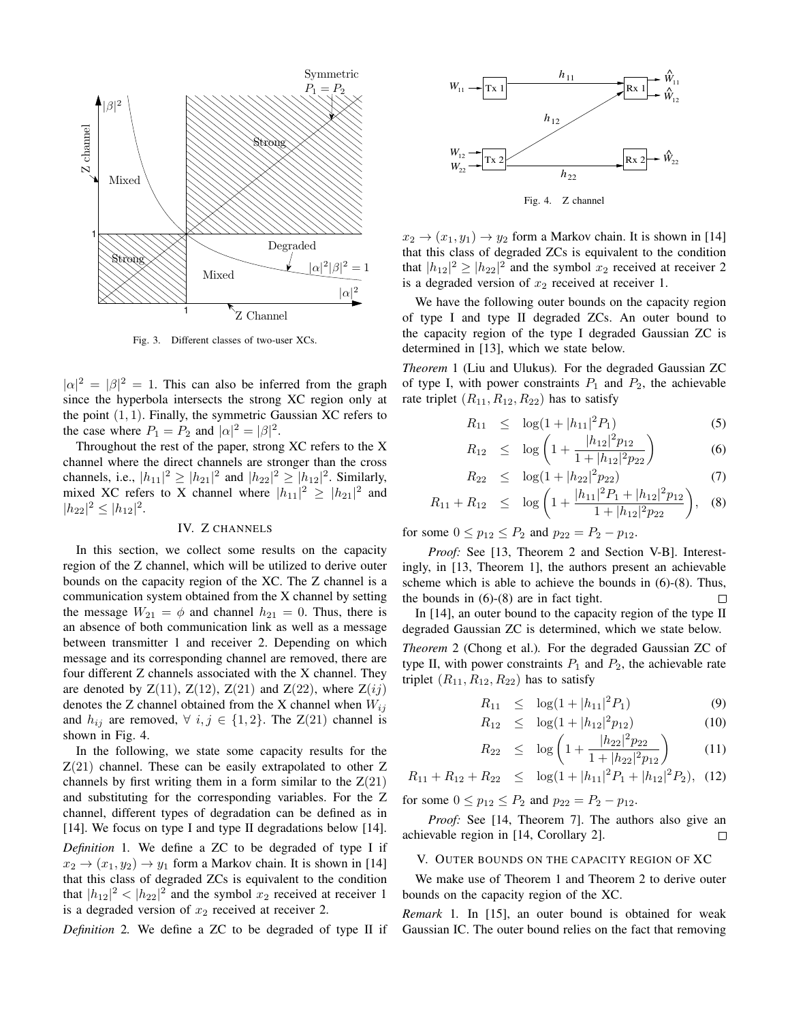

Fig. 3. Different classes of two-user XCs.

 $|\alpha|^2 = |\beta|^2 = 1$ . This can also be inferred from the graph since the hyperbola intersects the strong XC region only at the point  $(1, 1)$ . Finally, the symmetric Gaussian XC refers to the case where  $P_1 = P_2$  and  $|\alpha|^2 = |\beta|^2$ .

Throughout the rest of the paper, strong XC refers to the X channel where the direct channels are stronger than the cross channels, i.e.,  $|h_{11}|^2 \geq |h_{21}|^2$  and  $|h_{22}|^2 \geq |h_{12}|^2$ . Similarly, mixed XC refers to X channel where  $|h_{11}|^2 \geq |h_{21}|^2$  and  $|h_{22}|^2 \leq |h_{12}|^2$ .

#### IV. Z CHANNELS

In this section, we collect some results on the capacity region of the Z channel, which will be utilized to derive outer bounds on the capacity region of the XC. The Z channel is a communication system obtained from the X channel by setting the message  $W_{21} = \phi$  and channel  $h_{21} = 0$ . Thus, there is an absence of both communication link as well as a message between transmitter 1 and receiver 2. Depending on which message and its corresponding channel are removed, there are four different Z channels associated with the X channel. They are denoted by  $Z(11)$ ,  $Z(12)$ ,  $Z(21)$  and  $Z(22)$ , where  $Z(ij)$ denotes the Z channel obtained from the X channel when  $W_{ij}$ and  $h_{ij}$  are removed,  $\forall i, j \in \{1, 2\}$ . The  $Z(21)$  channel is shown in Fig. 4.

In the following, we state some capacity results for the  $Z(21)$  channel. These can be easily extrapolated to other Z channels by first writing them in a form similar to the  $Z(21)$ and substituting for the corresponding variables. For the Z channel, different types of degradation can be defined as in [14]. We focus on type I and type II degradations below [14]. *Definition* 1*.* We define a ZC to be degraded of type I if  $x_2 \rightarrow (x_1, y_2) \rightarrow y_1$  form a Markov chain. It is shown in [14] that this class of degraded ZCs is equivalent to the condition that  $|h_{12}|^2 < |h_{22}|^2$  and the symbol  $x_2$  received at receiver 1 is a degraded version of  $x_2$  received at receiver 2.

*Definition* 2*.* We define a ZC to be degraded of type II if



 $x_2 \rightarrow (x_1, y_1) \rightarrow y_2$  form a Markov chain. It is shown in [14] that this class of degraded ZCs is equivalent to the condition that  $|h_{12}|^2 \geq |h_{22}|^2$  and the symbol  $x_2$  received at receiver 2

We have the following outer bounds on the capacity region of type I and type II degraded ZCs. An outer bound to the capacity region of the type I degraded Gaussian ZC is determined in [13], which we state below.

is a degraded version of  $x_2$  received at receiver 1.

*Theorem* 1 (Liu and Ulukus)*.* For the degraded Gaussian ZC of type I, with power constraints  $P_1$  and  $P_2$ , the achievable rate triplet  $(R_{11}, R_{12}, R_{22})$  has to satisfy

$$
R_{11} \le \log(1+|h_{11}|^2 P_1) \tag{5}
$$

$$
R_{12} \leq \log \left( 1 + \frac{|h_{12}|^2 p_{12}}{1 + |h_{12}|^2 p_{22}} \right) \tag{6}
$$

$$
R_{22} \le \log(1+|h_{22}|^2 p_{22}) \tag{7}
$$

$$
R_{11} + R_{12} \leq \log \left( 1 + \frac{|h_{11}|^2 P_1 + |h_{12}|^2 p_{12}}{1 + |h_{12}|^2 p_{22}} \right), \quad (8)
$$

for some  $0 \le p_{12} \le P_2$  and  $p_{22} = P_2 - p_{12}$ .

*Proof:* See [13, Theorem 2 and Section V-B]. Interestingly, in [13, Theorem 1], the authors present an achievable scheme which is able to achieve the bounds in (6)-(8). Thus, the bounds in (6)-(8) are in fact tight. □

In [14], an outer bound to the capacity region of the type II degraded Gaussian ZC is determined, which we state below. *Theorem* 2 (Chong et al.)*.* For the degraded Gaussian ZC of type II, with power constraints  $P_1$  and  $P_2$ , the achievable rate triplet  $(R_{11}, R_{12}, R_{22})$  has to satisfy

$$
R_{11} \le \log(1+|h_{11}|^2 P_1) \tag{9}
$$

$$
R_{12} \le \log(1+|h_{12}|^2 p_{12}) \tag{10}
$$

$$
R_{22} \le \log\left(1 + \frac{|h_{22}|^2 p_{22}}{1 + |h_{22}|^2 p_{12}}\right) \tag{11}
$$

$$
R_{11} + R_{12} + R_{22} \le \log(1 + |h_{11}|^2 P_1 + |h_{12}|^2 P_2), \quad (12)
$$

for some  $0 \le p_{12} \le P_2$  and  $p_{22} = P_2 - p_{12}$ .

*Proof:* See [14, Theorem 7]. The authors also give an achievable region in [14, Corollary 2].  $\Box$ 

### V. OUTER BOUNDS ON THE CAPACITY REGION OF XC

We make use of Theorem 1 and Theorem 2 to derive outer bounds on the capacity region of the XC.

*Remark* 1*.* In [15], an outer bound is obtained for weak Gaussian IC. The outer bound relies on the fact that removing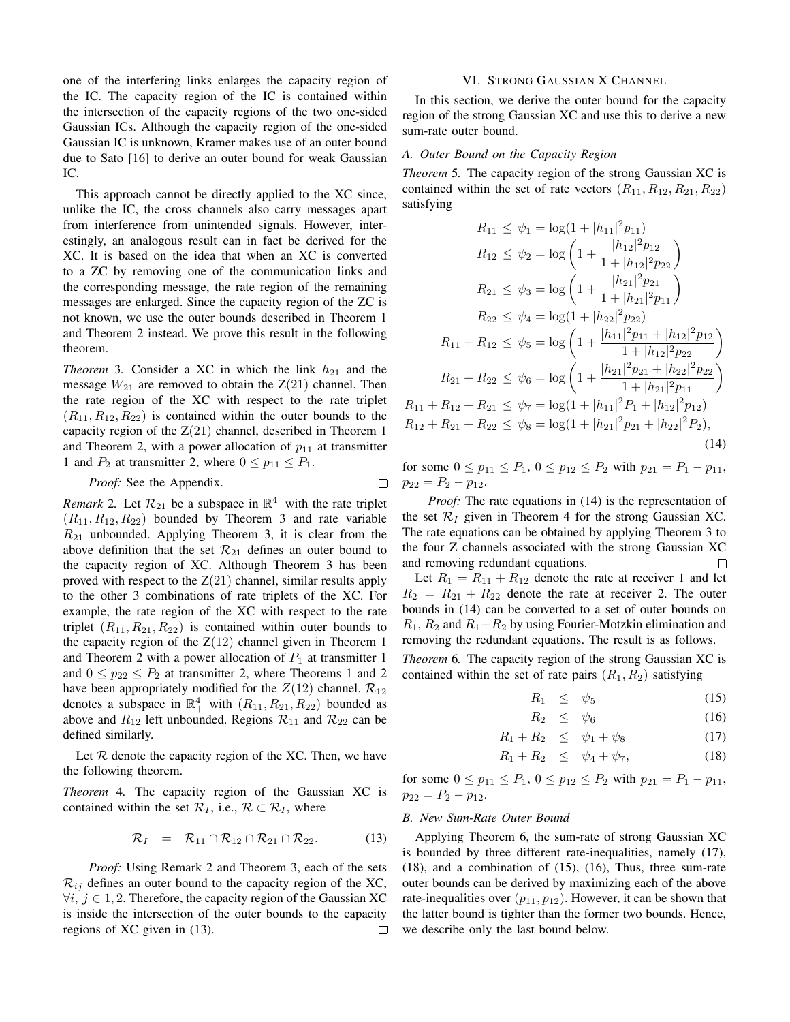one of the interfering links enlarges the capacity region of the IC. The capacity region of the IC is contained within the intersection of the capacity regions of the two one-sided Gaussian ICs. Although the capacity region of the one-sided Gaussian IC is unknown, Kramer makes use of an outer bound due to Sato [16] to derive an outer bound for weak Gaussian IC.

This approach cannot be directly applied to the XC since, unlike the IC, the cross channels also carry messages apart from interference from unintended signals. However, interestingly, an analogous result can in fact be derived for the XC. It is based on the idea that when an XC is converted to a ZC by removing one of the communication links and the corresponding message, the rate region of the remaining messages are enlarged. Since the capacity region of the ZC is not known, we use the outer bounds described in Theorem 1 and Theorem 2 instead. We prove this result in the following theorem.

*Theorem* 3. Consider a XC in which the link  $h_{21}$  and the message  $W_{21}$  are removed to obtain the  $Z(21)$  channel. Then the rate region of the XC with respect to the rate triplet  $(R_{11}, R_{12}, R_{22})$  is contained within the outer bounds to the capacity region of the  $Z(21)$  channel, described in Theorem 1 and Theorem 2, with a power allocation of  $p_{11}$  at transmitter 1 and  $P_2$  at transmitter 2, where  $0 \le p_{11} \le P_1$ .

*Proof:* See the Appendix.

 $\Box$ 

*Remark* 2. Let  $\mathcal{R}_{21}$  be a subspace in  $\mathbb{R}^4_+$  with the rate triplet  $(R_{11}, R_{12}, R_{22})$  bounded by Theorem 3 and rate variable  $R_{21}$  unbounded. Applying Theorem 3, it is clear from the above definition that the set  $\mathcal{R}_{21}$  defines an outer bound to the capacity region of XC. Although Theorem 3 has been proved with respect to the  $Z(21)$  channel, similar results apply to the other 3 combinations of rate triplets of the XC. For example, the rate region of the XC with respect to the rate triplet  $(R_{11}, R_{21}, R_{22})$  is contained within outer bounds to the capacity region of the  $Z(12)$  channel given in Theorem 1 and Theorem 2 with a power allocation of  $P_1$  at transmitter 1 and  $0 \leq p_{22} \leq P_2$  at transmitter 2, where Theorems 1 and 2 have been appropriately modified for the  $Z(12)$  channel.  $\mathcal{R}_{12}$ denotes a subspace in  $\mathbb{R}^4_+$  with  $(R_{11}, R_{21}, R_{22})$  bounded as above and  $R_{12}$  left unbounded. Regions  $\mathcal{R}_{11}$  and  $\mathcal{R}_{22}$  can be defined similarly.

Let  $R$  denote the capacity region of the XC. Then, we have the following theorem.

*Theorem* 4*.* The capacity region of the Gaussian XC is contained within the set  $\mathcal{R}_I$ , i.e.,  $\mathcal{R} \subset \mathcal{R}_I$ , where

$$
\mathcal{R}_I = \mathcal{R}_{11} \cap \mathcal{R}_{12} \cap \mathcal{R}_{21} \cap \mathcal{R}_{22}. \tag{13}
$$

*Proof:* Using Remark 2 and Theorem 3, each of the sets  $\mathcal{R}_{ij}$  defines an outer bound to the capacity region of the XC,  $\forall i, j \in 1, 2$ . Therefore, the capacity region of the Gaussian XC is inside the intersection of the outer bounds to the capacity regions of XC given in (13).  $\Box$ 

#### VI. STRONG GAUSSIAN X CHANNEL

In this section, we derive the outer bound for the capacity region of the strong Gaussian XC and use this to derive a new sum-rate outer bound.

# *A. Outer Bound on the Capacity Region*

*Theorem* 5*.* The capacity region of the strong Gaussian XC is contained within the set of rate vectors  $(R_{11}, R_{12}, R_{21}, R_{22})$ satisfying

$$
R_{11} \leq \psi_1 = \log(1 + |h_{11}|^2 p_{11})
$$
  
\n
$$
R_{12} \leq \psi_2 = \log\left(1 + \frac{|h_{12}|^2 p_{12}}{1 + |h_{12}|^2 p_{22}}\right)
$$
  
\n
$$
R_{21} \leq \psi_3 = \log\left(1 + \frac{|h_{21}|^2 p_{21}}{1 + |h_{21}|^2 p_{11}}\right)
$$
  
\n
$$
R_{22} \leq \psi_4 = \log(1 + |h_{22}|^2 p_{22})
$$
  
\n
$$
R_{11} + R_{12} \leq \psi_5 = \log\left(1 + \frac{|h_{11}|^2 p_{11} + |h_{12}|^2 p_{12}}{1 + |h_{12}|^2 p_{22}}\right)
$$
  
\n
$$
R_{21} + R_{22} \leq \psi_6 = \log\left(1 + \frac{|h_{21}|^2 p_{21} + |h_{22}|^2 p_{22}}{1 + |h_{21}|^2 p_{11}}\right)
$$
  
\n
$$
R_{11} + R_{12} + R_{21} \leq \psi_7 = \log(1 + |h_{11}|^2 P_1 + |h_{12}|^2 p_{12})
$$
  
\n
$$
R_{12} + R_{21} + R_{22} \leq \psi_8 = \log(1 + |h_{21}|^2 p_{21} + |h_{22}|^2 P_2),
$$
  
\n(14)

for some  $0 \le p_{11} \le P_1$ ,  $0 \le p_{12} \le P_2$  with  $p_{21} = P_1 - p_{11}$ ,  $p_{22} = P_2 - p_{12}.$ 

*Proof:* The rate equations in (14) is the representation of the set  $\mathcal{R}_I$  given in Theorem 4 for the strong Gaussian XC. The rate equations can be obtained by applying Theorem 3 to the four Z channels associated with the strong Gaussian XC and removing redundant equations.  $\Box$ 

Let  $R_1 = R_{11} + R_{12}$  denote the rate at receiver 1 and let  $R_2 = R_{21} + R_{22}$  denote the rate at receiver 2. The outer bounds in (14) can be converted to a set of outer bounds on  $R_1, R_2$  and  $R_1 + R_2$  by using Fourier-Motzkin elimination and removing the redundant equations. The result is as follows.

*Theorem* 6*.* The capacity region of the strong Gaussian XC is contained within the set of rate pairs  $(R_1, R_2)$  satisfying

$$
R_1 \leq \psi_5 \tag{15}
$$

$$
R_2 \leq \psi_6 \tag{16}
$$

$$
R_1 + R_2 \leq \psi_1 + \psi_8 \tag{17}
$$

$$
R_1 + R_2 \leq \psi_4 + \psi_7, \tag{18}
$$

for some  $0 \leq p_{11} \leq P_1$ ,  $0 \leq p_{12} \leq P_2$  with  $p_{21} = P_1 - p_{11}$ ,  $p_{22} = P_2 - p_{12}.$ 

# *B. New Sum-Rate Outer Bound*

Applying Theorem 6, the sum-rate of strong Gaussian XC is bounded by three different rate-inequalities, namely (17), (18), and a combination of (15), (16), Thus, three sum-rate outer bounds can be derived by maximizing each of the above rate-inequalities over  $(p_{11}, p_{12})$ . However, it can be shown that the latter bound is tighter than the former two bounds. Hence, we describe only the last bound below.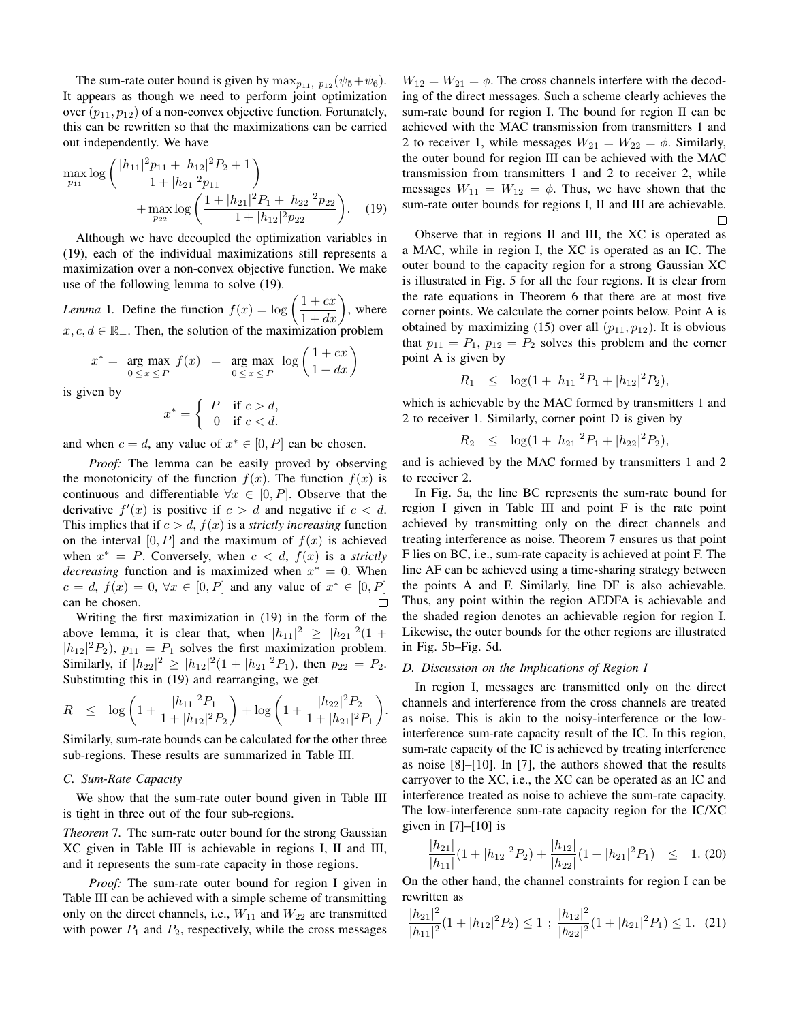The sum-rate outer bound is given by  $\max_{p_{11}, p_{12}} (\psi_5 + \psi_6)$ . It appears as though we need to perform joint optimization over  $(p_{11}, p_{12})$  of a non-convex objective function. Fortunately, this can be rewritten so that the maximizations can be carried out independently. We have

$$
\max_{p_{11}} \log \left( \frac{|h_{11}|^2 p_{11} + |h_{12}|^2 P_2 + 1}{1 + |h_{21}|^2 p_{11}} \right) + \max_{p_{22}} \log \left( \frac{1 + |h_{21}|^2 P_1 + |h_{22}|^2 p_{22}}{1 + |h_{12}|^2 p_{22}} \right). \tag{19}
$$

Although we have decoupled the optimization variables in (19), each of the individual maximizations still represents a maximization over a non-convex objective function. We make use of the following lemma to solve (19).

*Lemma* 1. Define the function  $f(x) = \log \left( \frac{1 + cx}{1 + dx} \right)$ , where  $x, c, d \in \mathbb{R}_+$ . Then, the solution of the maximization problem

$$
x^* = \underset{0 \le x \le P}{\arg \max} f(x) = \underset{0 \le x \le P}{\arg \max} \log \left( \frac{1 + cx}{1 + dx} \right)
$$

is given by

$$
x^* = \begin{cases} P & \text{if } c > d, \\ 0 & \text{if } c < d. \end{cases}
$$

and when  $c = d$ , any value of  $x^* \in [0, P]$  can be chosen.

*Proof:* The lemma can be easily proved by observing the monotonicity of the function  $f(x)$ . The function  $f(x)$  is continuous and differentiable  $\forall x \in [0, P]$ . Observe that the derivative  $f'(x)$  is positive if  $c > d$  and negative if  $c < d$ . This implies that if  $c > d$ ,  $f(x)$  is a *strictly increasing* function on the interval  $[0, P]$  and the maximum of  $f(x)$  is achieved when  $x^* = P$ . Conversely, when  $c < d$ ,  $f(x)$  is a *strictly decreasing* function and is maximized when  $x^* = 0$ . When  $c = d, f(x) = 0, \forall x \in [0, P]$  and any value of  $x^* \in [0, P]$ can be chosen.  $\Box$ 

Writing the first maximization in (19) in the form of the above lemma, it is clear that, when  $|h_{11}|^2 \geq |h_{21}|^2(1 +$  $|h_{12}|^2 P_2$ ,  $p_{11} = P_1$  solves the first maximization problem. Similarly, if  $|h_{22}|^2 \ge |h_{12}|^2 (1+ |h_{21}|^2 P_1)$ , then  $p_{22} = P_2$ . Substituting this in (19) and rearranging, we get

$$
R \quad \leq \quad \log \left( 1 + \frac{|h_{11}|^2 P_1}{1 + |h_{12}|^2 P_2} \right) + \log \left( 1 + \frac{|h_{22}|^2 P_2}{1 + |h_{21}|^2 P_1} \right)
$$

Similarly, sum-rate bounds can be calculated for the other three sub-regions. These results are summarized in Table III.

# *C. Sum-Rate Capacity*

We show that the sum-rate outer bound given in Table III is tight in three out of the four sub-regions.

*Theorem* 7*.* The sum-rate outer bound for the strong Gaussian XC given in Table III is achievable in regions I, II and III, and it represents the sum-rate capacity in those regions.

*Proof:* The sum-rate outer bound for region I given in Table III can be achieved with a simple scheme of transmitting only on the direct channels, i.e.,  $W_{11}$  and  $W_{22}$  are transmitted with power  $P_1$  and  $P_2$ , respectively, while the cross messages  $W_{12} = W_{21} = \phi$ . The cross channels interfere with the decoding of the direct messages. Such a scheme clearly achieves the sum-rate bound for region I. The bound for region II can be achieved with the MAC transmission from transmitters 1 and 2 to receiver 1, while messages  $W_{21} = W_{22} = \phi$ . Similarly, the outer bound for region III can be achieved with the MAC transmission from transmitters 1 and 2 to receiver 2, while messages  $W_{11} = W_{12} = \phi$ . Thus, we have shown that the sum-rate outer bounds for regions I, II and III are achievable.  $\Box$ 

Observe that in regions II and III, the XC is operated as a MAC, while in region I, the XC is operated as an IC. The outer bound to the capacity region for a strong Gaussian XC is illustrated in Fig. 5 for all the four regions. It is clear from the rate equations in Theorem 6 that there are at most five corner points. We calculate the corner points below. Point A is obtained by maximizing (15) over all  $(p_{11}, p_{12})$ . It is obvious that  $p_{11} = P_1$ ,  $p_{12} = P_2$  solves this problem and the corner point A is given by

$$
R_1 \le \log(1+|h_{11}|^2 P_1 + |h_{12}|^2 P_2),
$$

which is achievable by the MAC formed by transmitters 1 and 2 to receiver 1. Similarly, corner point D is given by

$$
R_2 \le \log(1+|h_{21}|^2 P_1 + |h_{22}|^2 P_2),
$$

and is achieved by the MAC formed by transmitters 1 and 2 to receiver 2.

In Fig. 5a, the line BC represents the sum-rate bound for region I given in Table III and point F is the rate point achieved by transmitting only on the direct channels and treating interference as noise. Theorem 7 ensures us that point F lies on BC, i.e., sum-rate capacity is achieved at point F. The line AF can be achieved using a time-sharing strategy between the points A and F. Similarly, line DF is also achievable. Thus, any point within the region AEDFA is achievable and the shaded region denotes an achievable region for region I. Likewise, the outer bounds for the other regions are illustrated in Fig. 5b–Fig. 5d.

# *D. Discussion on the Implications of Region I*

.

In region I, messages are transmitted only on the direct channels and interference from the cross channels are treated as noise. This is akin to the noisy-interference or the lowinterference sum-rate capacity result of the IC. In this region, sum-rate capacity of the IC is achieved by treating interference as noise [8]–[10]. In [7], the authors showed that the results carryover to the XC, i.e., the XC can be operated as an IC and interference treated as noise to achieve the sum-rate capacity. The low-interference sum-rate capacity region for the IC/XC given in [7]–[10] is

$$
\frac{|h_{21}|}{|h_{11}|}(1+|h_{12}|^2P_2) + \frac{|h_{12}|}{|h_{22}|}(1+|h_{21}|^2P_1) \leq 1. (20)
$$

On the other hand, the channel constraints for region I can be rewritten as

$$
\frac{|h_{21}|^2}{|h_{11}|^2}(1+|h_{12}|^2P_2) \le 1 \; ; \; \frac{|h_{12}|^2}{|h_{22}|^2}(1+|h_{21}|^2P_1) \le 1. \tag{21}
$$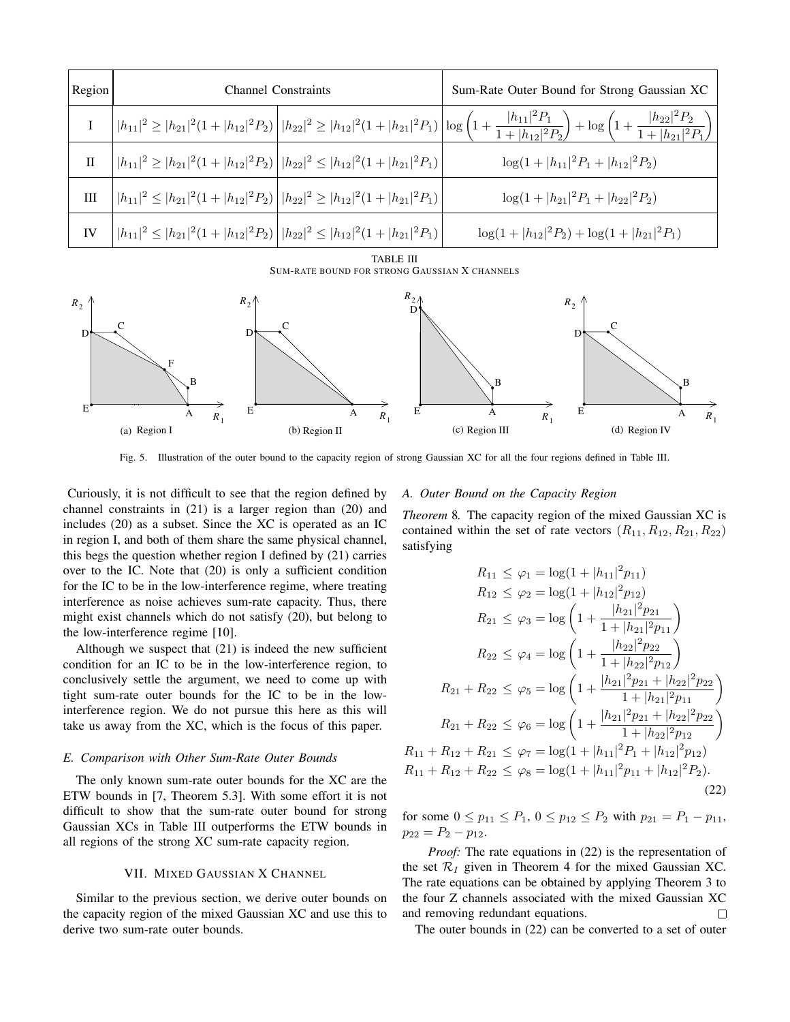| Region       | <b>Channel Constraints</b>                                                                                   |  | Sum-Rate Outer Bound for Strong Gaussian XC                                                                                                                                                                                      |
|--------------|--------------------------------------------------------------------------------------------------------------|--|----------------------------------------------------------------------------------------------------------------------------------------------------------------------------------------------------------------------------------|
|              |                                                                                                              |  | $\bigg  h_{11} ^2 \geq  h_{21} ^2(1+ h_{12} ^2P_2)\bigg  h_{22} ^2 \geq  h_{12} ^2(1+ h_{21} ^2P_1)\bigg  \log \left(1+\frac{ h_{11} ^2P_1}{1+ h_{12} ^2P_2}\right) + \log \left(1+\frac{ h_{22} ^2P_2}{1+ h_{21} ^2P_1}\right)$ |
| $\mathbf{I}$ | $\left   h_{11} ^2 \ge  h_{21} ^2 (1+ h_{12} ^2 P_2) \right   h_{22} ^2 \le  h_{12} ^2 (1+ h_{21} ^2 P_1)$   |  | $\log(1+ h_{11} ^2P_1+ h_{12} ^2P_2)$                                                                                                                                                                                            |
| III          | $\left   h_{11} ^2 \leq  h_{21} ^2 (1+ h_{12} ^2 P_2) \right   h_{22} ^2 \geq  h_{12} ^2 (1+ h_{21} ^2 P_1)$ |  | $\log(1+ h_{21} ^2P_1+ h_{22} ^2P_2)$                                                                                                                                                                                            |
| IV           | $\left   h_{11} ^2 \leq  h_{21} ^2 (1+ h_{12} ^2 P_2) \right   h_{22} ^2 \leq  h_{12} ^2 (1+ h_{21} ^2 P_1)$ |  | $\log(1+ h_{12} ^2P_2)+\log(1+ h_{21} ^2P_1)$                                                                                                                                                                                    |

TABLE III SUM-RATE BOUND FOR STRONG GAUSSIAN X CHANNELS



Fig. 5. Illustration of the outer bound to the capacity region of strong Gaussian XC for all the four regions defined in Table III.

Curiously, it is not difficult to see that the region defined by channel constraints in (21) is a larger region than (20) and includes (20) as a subset. Since the XC is operated as an IC in region I, and both of them share the same physical channel, this begs the question whether region I defined by (21) carries over to the IC. Note that (20) is only a sufficient condition for the IC to be in the low-interference regime, where treating interference as noise achieves sum-rate capacity. Thus, there might exist channels which do not satisfy (20), but belong to the low-interference regime [10].

Although we suspect that (21) is indeed the new sufficient condition for an IC to be in the low-interference region, to conclusively settle the argument, we need to come up with tight sum-rate outer bounds for the IC to be in the lowinterference region. We do not pursue this here as this will take us away from the XC, which is the focus of this paper.

# *E. Comparison with Other Sum-Rate Outer Bounds*

The only known sum-rate outer bounds for the XC are the ETW bounds in [7, Theorem 5.3]. With some effort it is not difficult to show that the sum-rate outer bound for strong Gaussian XCs in Table III outperforms the ETW bounds in all regions of the strong XC sum-rate capacity region.

# VII. MIXED GAUSSIAN X CHANNEL

Similar to the previous section, we derive outer bounds on the capacity region of the mixed Gaussian XC and use this to derive two sum-rate outer bounds.

#### *A. Outer Bound on the Capacity Region*

*Theorem* 8*.* The capacity region of the mixed Gaussian XC is contained within the set of rate vectors  $(R_{11}, R_{12}, R_{21}, R_{22})$ satisfying

$$
R_{11} \leq \varphi_1 = \log(1 + |h_{11}|^2 p_{11})
$$
  
\n
$$
R_{12} \leq \varphi_2 = \log(1 + |h_{12}|^2 p_{12})
$$
  
\n
$$
R_{21} \leq \varphi_3 = \log\left(1 + \frac{|h_{21}|^2 p_{21}}{1 + |h_{21}|^2 p_{11}}\right)
$$
  
\n
$$
R_{22} \leq \varphi_4 = \log\left(1 + \frac{|h_{22}|^2 p_{22}}{1 + |h_{22}|^2 p_{12}}\right)
$$
  
\n
$$
R_{21} + R_{22} \leq \varphi_5 = \log\left(1 + \frac{|h_{21}|^2 p_{21} + |h_{22}|^2 p_{22}}{1 + |h_{21}|^2 p_{11}}\right)
$$
  
\n
$$
R_{21} + R_{22} \leq \varphi_6 = \log\left(1 + \frac{|h_{21}|^2 p_{21} + |h_{22}|^2 p_{22}}{1 + |h_{22}|^2 p_{12}}\right)
$$
  
\n
$$
R_{11} + R_{12} + R_{21} \leq \varphi_7 = \log(1 + |h_{11}|^2 P_1 + |h_{12}|^2 p_{12})
$$
  
\n
$$
R_{11} + R_{12} + R_{22} \leq \varphi_8 = \log(1 + |h_{11}|^2 p_{11} + |h_{12}|^2 P_2).
$$
  
\n(22)

for some  $0 \le p_{11} \le P_1$ ,  $0 \le p_{12} \le P_2$  with  $p_{21} = P_1 - p_{11}$ ,  $p_{22} = P_2 - p_{12}.$ 

*Proof:* The rate equations in (22) is the representation of the set  $\mathcal{R}_I$  given in Theorem 4 for the mixed Gaussian XC. The rate equations can be obtained by applying Theorem 3 to the four Z channels associated with the mixed Gaussian XC and removing redundant equations.  $\Box$ 

The outer bounds in (22) can be converted to a set of outer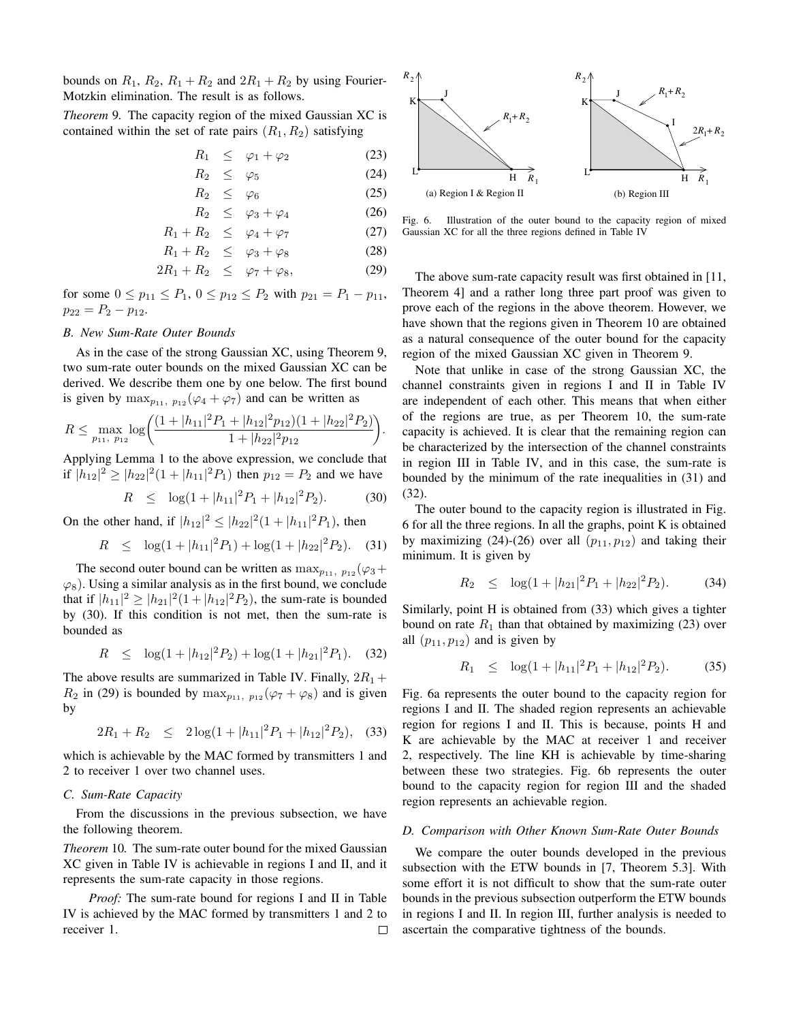bounds on  $R_1$ ,  $R_2$ ,  $R_1 + R_2$  and  $2R_1 + R_2$  by using Fourier-Motzkin elimination. The result is as follows.

*Theorem* 9*.* The capacity region of the mixed Gaussian XC is contained within the set of rate pairs  $(R_1, R_2)$  satisfying

$$
R_1 \leq \varphi_1 + \varphi_2 \tag{23}
$$

$$
R_2 \leq \varphi_5 \tag{24}
$$

$$
R_2 \leq \varphi_6 \tag{25}
$$

$$
R_2 \leq \varphi_3 + \varphi_4 \tag{26}
$$

$$
R_1 + R_2 \leq \varphi_4 + \varphi_7 \tag{27}
$$

$$
R_1 + R_2 \leq \varphi_3 + \varphi_8 \tag{28}
$$
  

$$
2R_1 + R_2 \leq \varphi_7 + \varphi_8, \tag{29}
$$

for some  $0 \le p_{11} \le P_1$ ,  $0 \le p_{12} \le P_2$  with  $p_{21} = P_1 - p_{11}$ ,  $p_{22} = P_2 - p_{12}.$ 

# *B. New Sum-Rate Outer Bounds*

As in the case of the strong Gaussian XC, using Theorem 9, two sum-rate outer bounds on the mixed Gaussian XC can be derived. We describe them one by one below. The first bound is given by  $\max_{p_{11}, p_{12}} (\varphi_4 + \varphi_7)$  and can be written as

$$
R \leq \max_{p_{11}, p_{12}} \log \left( \frac{(1+|h_{11}|^2 P_1 + |h_{12}|^2 p_{12})(1+|h_{22}|^2 P_2)}{1+|h_{22}|^2 p_{12}} \right).
$$

Applying Lemma 1 to the above expression, we conclude that if  $|h_{12}|^2 \ge |h_{22}|^2 (1+|h_{11}|^2 P_1)$  then  $p_{12} = P_2$  and we have

$$
R \leq \log(1+|h_{11}|^2 P_1 + |h_{12}|^2 P_2). \tag{30}
$$

On the other hand, if  $|h_{12}|^2 \leq |h_{22}|^2(1+|h_{11}|^2P_1)$ , then

$$
R \le \log(1+|h_{11}|^2 P_1) + \log(1+|h_{22}|^2 P_2). \quad (31)
$$

The second outer bound can be written as  $\max_{p_{11}, p_{12}} (\varphi_3 +$  $\varphi_8$ ). Using a similar analysis as in the first bound, we conclude that if  $|h_{11}|^2 \geq |h_{21}|^2 (1+|h_{12}|^2 P_2)$ , the sum-rate is bounded by (30). If this condition is not met, then the sum-rate is bounded as

$$
R \le \log(1+|h_{12}|^2 P_2) + \log(1+|h_{21}|^2 P_1). \quad (32)
$$

The above results are summarized in Table IV. Finally,  $2R_1 +$  $R_2$  in (29) is bounded by  $\max_{p_{11}, p_{12}} (\varphi_7 + \varphi_8)$  and is given by

$$
2R_1 + R_2 \le 2\log(1+|h_{11}|^2 P_1 + |h_{12}|^2 P_2), \quad (33)
$$

which is achievable by the MAC formed by transmitters 1 and 2 to receiver 1 over two channel uses.

# *C. Sum-Rate Capacity*

From the discussions in the previous subsection, we have the following theorem.

*Theorem* 10*.* The sum-rate outer bound for the mixed Gaussian XC given in Table IV is achievable in regions I and II, and it represents the sum-rate capacity in those regions.

*Proof:* The sum-rate bound for regions I and II in Table IV is achieved by the MAC formed by transmitters 1 and 2 to receiver 1.  $\Box$ 



Fig. 6. Illustration of the outer bound to the capacity region of mixed Gaussian XC for all the three regions defined in Table IV

The above sum-rate capacity result was first obtained in [11, Theorem 4] and a rather long three part proof was given to prove each of the regions in the above theorem. However, we have shown that the regions given in Theorem 10 are obtained as a natural consequence of the outer bound for the capacity region of the mixed Gaussian XC given in Theorem 9.

Note that unlike in case of the strong Gaussian XC, the channel constraints given in regions I and II in Table IV are independent of each other. This means that when either of the regions are true, as per Theorem 10, the sum-rate capacity is achieved. It is clear that the remaining region can be characterized by the intersection of the channel constraints in region III in Table IV, and in this case, the sum-rate is bounded by the minimum of the rate inequalities in (31) and (32).

The outer bound to the capacity region is illustrated in Fig. 6 for all the three regions. In all the graphs, point K is obtained by maximizing (24)-(26) over all  $(p_{11}, p_{12})$  and taking their minimum. It is given by

$$
R_2 \le \log(1+|h_{21}|^2 P_1 + |h_{22}|^2 P_2). \tag{34}
$$

Similarly, point H is obtained from (33) which gives a tighter bound on rate  $R_1$  than that obtained by maximizing (23) over all  $(p_{11}, p_{12})$  and is given by

$$
R_1 \le \log(1+|h_{11}|^2 P_1 + |h_{12}|^2 P_2). \tag{35}
$$

Fig. 6a represents the outer bound to the capacity region for regions I and II. The shaded region represents an achievable region for regions I and II. This is because, points H and K are achievable by the MAC at receiver 1 and receiver 2, respectively. The line KH is achievable by time-sharing between these two strategies. Fig. 6b represents the outer bound to the capacity region for region III and the shaded region represents an achievable region.

# *D. Comparison with Other Known Sum-Rate Outer Bounds*

We compare the outer bounds developed in the previous subsection with the ETW bounds in [7, Theorem 5.3]. With some effort it is not difficult to show that the sum-rate outer bounds in the previous subsection outperform the ETW bounds in regions I and II. In region III, further analysis is needed to ascertain the comparative tightness of the bounds.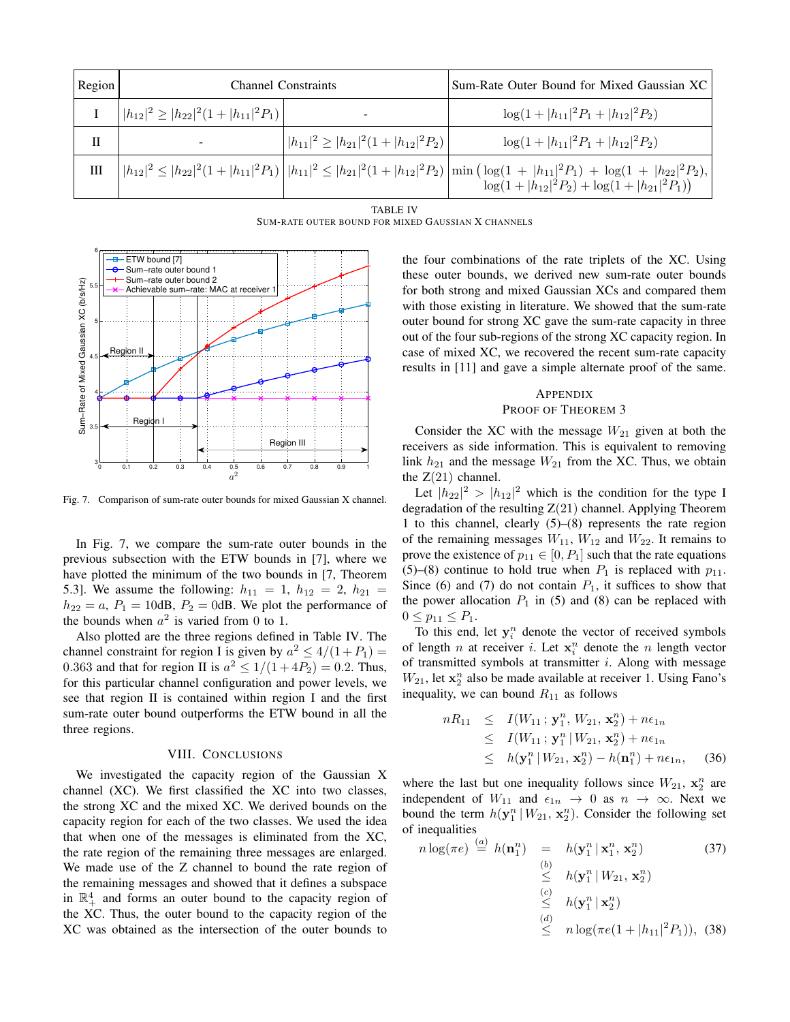| Region | <b>Channel Constraints</b>                     |                                                | Sum-Rate Outer Bound for Mixed Gaussian XC                                                                                                                                                                               |
|--------|------------------------------------------------|------------------------------------------------|--------------------------------------------------------------------------------------------------------------------------------------------------------------------------------------------------------------------------|
|        | $ h_{12} ^2 \geq  h_{22} ^2(1+ h_{11} ^2P_1) $ | -                                              | $\log(1+ h_{11} ^2P_1+ h_{12} ^2P_2)$                                                                                                                                                                                    |
| Н      |                                                | $ h_{11} ^2 \geq  h_{21} ^2(1+ h_{12} ^2P_2) $ | $\log(1+ h_{11} ^2P_1+ h_{12} ^2P_2)$                                                                                                                                                                                    |
| Ш      |                                                |                                                | $\left   h_{12} ^2 \leq  h_{22} ^2 (1+ h_{11} ^2 P_1) \right   h_{11} ^2 \leq  h_{21} ^2 (1+ h_{12} ^2 P_2) \left  \min \left( \log(1+ h_{11} ^2 P_1) + \log(1+ h_{22} ^2 P_2),  \log(1+ h_{21} ^2 P_1) \right) \right $ |
|        |                                                |                                                |                                                                                                                                                                                                                          |

TABLE IV SUM-RATE OUTER BOUND FOR MIXED GAUSSIAN X CHANNELS



Fig. 7. Comparison of sum-rate outer bounds for mixed Gaussian X channel.

In Fig. 7, we compare the sum-rate outer bounds in the previous subsection with the ETW bounds in [7], where we have plotted the minimum of the two bounds in [7, Theorem 5.3]. We assume the following:  $h_{11} = 1$ ,  $h_{12} = 2$ ,  $h_{21} =$  $h_{22} = a$ ,  $P_1 = 10$ dB,  $P_2 = 0$ dB. We plot the performance of the bounds when  $a^2$  is varied from 0 to 1.

Also plotted are the three regions defined in Table IV. The channel constraint for region I is given by  $a^2 \le 4/(1+P_1)$  = 0.363 and that for region II is  $a^2 \le 1/(1+4P_2)=0.2$ . Thus, for this particular channel configuration and power levels, we see that region II is contained within region I and the first sum-rate outer bound outperforms the ETW bound in all the three regions.

# VIII. CONCLUSIONS

We investigated the capacity region of the Gaussian X channel (XC). We first classified the XC into two classes, the strong XC and the mixed XC. We derived bounds on the capacity region for each of the two classes. We used the idea that when one of the messages is eliminated from the XC, the rate region of the remaining three messages are enlarged. We made use of the Z channel to bound the rate region of the remaining messages and showed that it defines a subspace in  $\mathbb{R}^4_+$  and forms an outer bound to the capacity region of the XC. Thus, the outer bound to the capacity region of the XC was obtained as the intersection of the outer bounds to the four combinations of the rate triplets of the XC. Using these outer bounds, we derived new sum-rate outer bounds for both strong and mixed Gaussian XCs and compared them with those existing in literature. We showed that the sum-rate outer bound for strong XC gave the sum-rate capacity in three out of the four sub-regions of the strong XC capacity region. In case of mixed XC, we recovered the recent sum-rate capacity results in [11] and gave a simple alternate proof of the same.

# APPENDIX PROOF OF THEOREM 3

Consider the XC with the message  $W_{21}$  given at both the receivers as side information. This is equivalent to removing link  $h_{21}$  and the message  $W_{21}$  from the XC. Thus, we obtain the  $Z(21)$  channel.

Let  $|h_{22}|^2 > |h_{12}|^2$  which is the condition for the type I degradation of the resulting  $Z(21)$  channel. Applying Theorem 1 to this channel, clearly (5)–(8) represents the rate region of the remaining messages  $W_{11}$ ,  $W_{12}$  and  $W_{22}$ . It remains to prove the existence of  $p_{11} \in [0, P_1]$  such that the rate equations (5)–(8) continue to hold true when  $P_1$  is replaced with  $p_{11}$ . Since (6) and (7) do not contain  $P_1$ , it suffices to show that the power allocation  $P_1$  in (5) and (8) can be replaced with  $0 \leq p_{11} \leq P_1$ .

To this end, let  $y_i^n$  denote the vector of received symbols of length *n* at receiver *i*. Let  $x_i^n$  denote the *n* length vector of transmitted symbols at transmitter  $i$ . Along with message  $W_{21}$ , let  $\mathbf{x}_2^n$  also be made available at receiver 1. Using Fano's inequality, we can bound  $R_{11}$  as follows

$$
nR_{11} \leq I(W_{11}; \mathbf{y}_1^n, W_{21}, \mathbf{x}_2^n) + n\epsilon_{1n}
$$
  
\n
$$
\leq I(W_{11}; \mathbf{y}_1^n | W_{21}, \mathbf{x}_2^n) + n\epsilon_{1n}
$$
  
\n
$$
\leq h(\mathbf{y}_1^n | W_{21}, \mathbf{x}_2^n) - h(\mathbf{n}_1^n) + n\epsilon_{1n}, \quad (36)
$$

where the last but one inequality follows since  $W_{21}$ ,  $\mathbf{x}_2^n$  are independent of  $W_{11}$  and  $\epsilon_{1n} \rightarrow 0$  as  $n \rightarrow \infty$ . Next we bound the term  $h(\mathbf{y}_1^n | W_{21}, \mathbf{x}_2^n)$ . Consider the following set of inequalities

$$
n \log(\pi e) \stackrel{(a)}{=} h(\mathbf{n}_1^n) = h(\mathbf{y}_1^n | \mathbf{x}_1^n, \mathbf{x}_2^n)
$$
\n
$$
\stackrel{(b)}{\leq} h(\mathbf{y}_1^n | W_{21}, \mathbf{x}_2^n)
$$
\n
$$
\stackrel{(c)}{\leq} h(\mathbf{y}_1^n | \mathbf{x}_2^n)
$$
\n
$$
\stackrel{(d)}{\leq} n \log(\pi e(1+|h_{11}|^2 P_1)),
$$
\n(38)